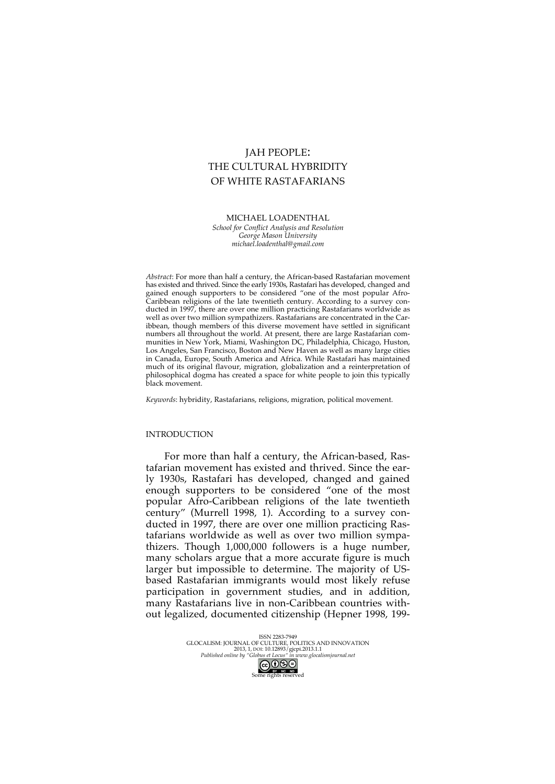# JAH PEOPLE: THE CULTURAL HYBRIDITY OF WHITE RASTAFARIANS

## MICHAEL LOADENTHAL

*School for Conflict Analysis and Resolution George Mason University michael.loadenthal@gmail.com*

*Abstract*: For more than half a century, the African-based Rastafarian movement has existed and thrived. Since the early 1930s, Rastafari has developed, changed and gained enough supporters to be considered "one of the most popular Afro-Caribbean religions of the late twentieth century. According to a survey conducted in 1997, there are over one million practicing Rastafarians worldwide as well as over two million sympathizers. Rastafarians are concentrated in the Caribbean, though members of this diverse movement have settled in significant numbers all throughout the world. At present, there are large Rastafarian communities in New York, Miami, Washington DC, Philadelphia, Chicago, Huston, Los Angeles, San Francisco, Boston and New Haven as well as many large cities in Canada, Europe, South America and Africa. While Rastafari has maintained much of its original flavour, migration, globalization and a reinterpretation of philosophical dogma has created a space for white people to join this typically black movement.

*Keywords*: hybridity, Rastafarians, religions, migration, political movement.

# INTRODUCTION

For more than half a century, the African-based, Rastafarian movement has existed and thrived. Since the early 1930s, Rastafari has developed, changed and gained enough supporters to be considered "one of the most popular Afro-Caribbean religions of the late twentieth century" (Murrell 1998, 1). According to a survey conducted in 1997, there are over one million practicing Rastafarians worldwide as well as over two million sympathizers. Though 1,000,000 followers is a huge number, many scholars argue that a more accurate figure is much larger but impossible to determine. The majority of USbased Rastafarian immigrants would most likely refuse participation in government studies, and in addition, many Rastafarians live in non-Caribbean countries without legalized, documented citizenship (Hepner 1998, 199-

> ISSN 2283-7949 GLOCALISM: JOURNAL OF CULTURE, POLITICS AND INNOVATION 2013, 1, DOI: 10.12893/gjcpi.2013.1.1 *Published online by "Globus et Locus" in www.glocalismjournal.net* COOSE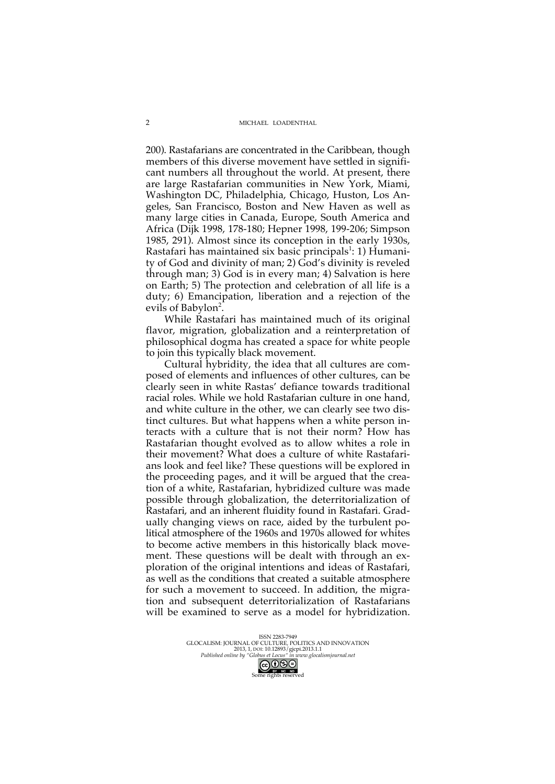200). Rastafarians are concentrated in the Caribbean, though members of this diverse movement have settled in significant numbers all throughout the world. At present, there are large Rastafarian communities in New York, Miami, Washington DC, Philadelphia, Chicago, Huston, Los Angeles, San Francisco, Boston and New Haven as well as many large cities in Canada, Europe, South America and Africa (Dijk 1998, 178-180; Hepner 1998, 199-206; Simpson 1985, 291). Almost since its conception in the early 1930s, Rastafari has maintained six basic principals<sup>1</sup>: 1) Humanity of God and divinity of man; 2) God's divinity is reveled through man; 3) God is in every man; 4) Salvation is here on Earth; 5) The protection and celebration of all life is a duty; 6) Emancipation, liberation and a rejection of the evils of Babylon<sup>2</sup>.

While Rastafari has maintained much of its original flavor, migration, globalization and a reinterpretation of philosophical dogma has created a space for white people to join this typically black movement.

Cultural hybridity, the idea that all cultures are composed of elements and influences of other cultures, can be clearly seen in white Rastas' defiance towards traditional racial roles. While we hold Rastafarian culture in one hand, and white culture in the other, we can clearly see two distinct cultures. But what happens when a white person interacts with a culture that is not their norm? How has Rastafarian thought evolved as to allow whites a role in their movement? What does a culture of white Rastafarians look and feel like? These questions will be explored in the proceeding pages, and it will be argued that the creation of a white, Rastafarian, hybridized culture was made possible through globalization, the deterritorialization of Rastafari, and an inherent fluidity found in Rastafari. Gradually changing views on race, aided by the turbulent political atmosphere of the 1960s and 1970s allowed for whites to become active members in this historically black movement. These questions will be dealt with through an exploration of the original intentions and ideas of Rastafari, as well as the conditions that created a suitable atmosphere for such a movement to succeed. In addition, the migration and subsequent deterritorialization of Rastafarians will be examined to serve as a model for hybridization.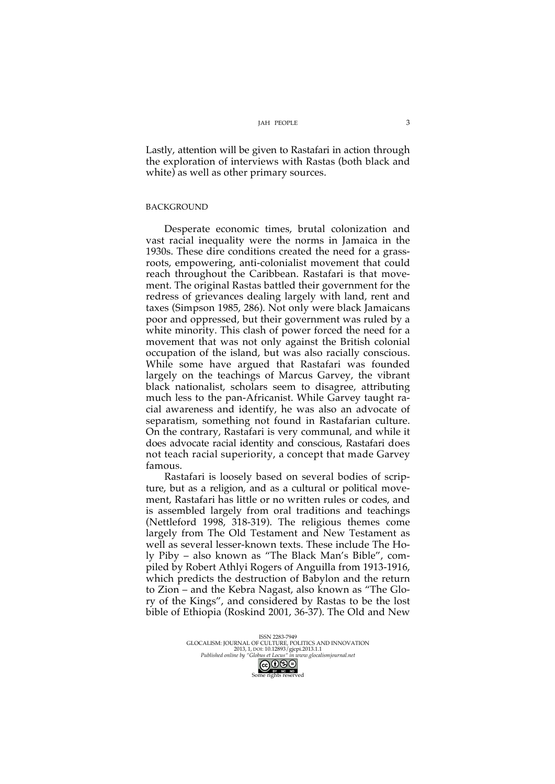Lastly, attention will be given to Rastafari in action through the exploration of interviews with Rastas (both black and white) as well as other primary sources.

#### BACKGROUND

Desperate economic times, brutal colonization and vast racial inequality were the norms in Jamaica in the 1930s. These dire conditions created the need for a grassroots, empowering, anti-colonialist movement that could reach throughout the Caribbean. Rastafari is that movement. The original Rastas battled their government for the redress of grievances dealing largely with land, rent and taxes (Simpson 1985, 286). Not only were black Jamaicans poor and oppressed, but their government was ruled by a white minority. This clash of power forced the need for a movement that was not only against the British colonial occupation of the island, but was also racially conscious. While some have argued that Rastafari was founded largely on the teachings of Marcus Garvey, the vibrant black nationalist, scholars seem to disagree, attributing much less to the pan-Africanist. While Garvey taught racial awareness and identify, he was also an advocate of separatism, something not found in Rastafarian culture. On the contrary, Rastafari is very communal, and while it does advocate racial identity and conscious, Rastafari does not teach racial superiority, a concept that made Garvey famous.

Rastafari is loosely based on several bodies of scripture, but as a religion, and as a cultural or political movement, Rastafari has little or no written rules or codes, and is assembled largely from oral traditions and teachings (Nettleford 1998, 318-319). The religious themes come largely from The Old Testament and New Testament as well as several lesser-known texts. These include The Holy Piby – also known as "The Black Man's Bible", compiled by Robert Athlyi Rogers of Anguilla from 1913-1916, which predicts the destruction of Babylon and the return to Zion – and the Kebra Nagast, also known as "The Glory of the Kings", and considered by Rastas to be the lost bible of Ethiopia (Roskind 2001, 36-37). The Old and New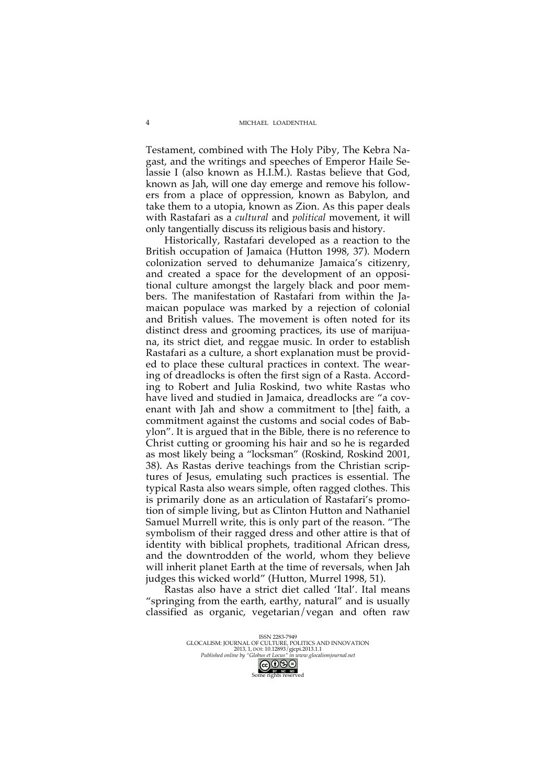Testament, combined with The Holy Piby, The Kebra Nagast, and the writings and speeches of Emperor Haile Selassie I (also known as H.I.M.). Rastas believe that God, known as Jah, will one day emerge and remove his followers from a place of oppression, known as Babylon, and take them to a utopia, known as Zion. As this paper deals with Rastafari as a *cultural* and *political* movement, it will only tangentially discuss its religious basis and history.

Historically, Rastafari developed as a reaction to the British occupation of Jamaica (Hutton 1998, 37). Modern colonization served to dehumanize Jamaica's citizenry, and created a space for the development of an oppositional culture amongst the largely black and poor members. The manifestation of Rastafari from within the Jamaican populace was marked by a rejection of colonial and British values. The movement is often noted for its distinct dress and grooming practices, its use of marijuana, its strict diet, and reggae music. In order to establish Rastafari as a culture, a short explanation must be provided to place these cultural practices in context. The wearing of dreadlocks is often the first sign of a Rasta. According to Robert and Julia Roskind, two white Rastas who have lived and studied in Jamaica, dreadlocks are "a covenant with Jah and show a commitment to [the] faith, a commitment against the customs and social codes of Babylon". It is argued that in the Bible, there is no reference to Christ cutting or grooming his hair and so he is regarded as most likely being a "locksman" (Roskind, Roskind 2001, 38). As Rastas derive teachings from the Christian scriptures of Jesus, emulating such practices is essential. The typical Rasta also wears simple, often ragged clothes. This is primarily done as an articulation of Rastafari's promotion of simple living, but as Clinton Hutton and Nathaniel Samuel Murrell write, this is only part of the reason. "The symbolism of their ragged dress and other attire is that of identity with biblical prophets, traditional African dress, and the downtrodden of the world, whom they believe will inherit planet Earth at the time of reversals, when Jah judges this wicked world" (Hutton, Murrel 1998, 51).

Rastas also have a strict diet called 'Ital'. Ital means "springing from the earth, earthy, natural" and is usually classified as organic, vegetarian/vegan and often raw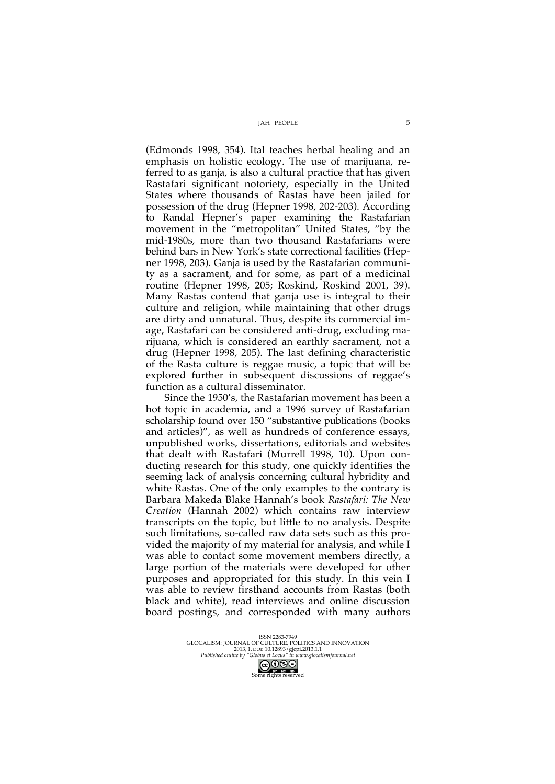(Edmonds 1998, 354). Ital teaches herbal healing and an emphasis on holistic ecology. The use of marijuana, referred to as ganja, is also a cultural practice that has given Rastafari significant notoriety, especially in the United States where thousands of Rastas have been jailed for possession of the drug (Hepner 1998, 202-203). According to Randal Hepner's paper examining the Rastafarian movement in the "metropolitan" United States, "by the mid-1980s, more than two thousand Rastafarians were behind bars in New York's state correctional facilities (Hepner 1998, 203). Ganja is used by the Rastafarian community as a sacrament, and for some, as part of a medicinal routine (Hepner 1998, 205; Roskind, Roskind 2001, 39). Many Rastas contend that ganja use is integral to their culture and religion, while maintaining that other drugs are dirty and unnatural. Thus, despite its commercial image, Rastafari can be considered anti-drug, excluding marijuana, which is considered an earthly sacrament, not a drug (Hepner 1998, 205). The last defining characteristic of the Rasta culture is reggae music, a topic that will be explored further in subsequent discussions of reggae's function as a cultural disseminator.

Since the 1950's, the Rastafarian movement has been a hot topic in academia, and a 1996 survey of Rastafarian scholarship found over 150 "substantive publications (books and articles)", as well as hundreds of conference essays, unpublished works, dissertations, editorials and websites that dealt with Rastafari (Murrell 1998, 10). Upon conducting research for this study, one quickly identifies the seeming lack of analysis concerning cultural hybridity and white Rastas. One of the only examples to the contrary is Barbara Makeda Blake Hannah's book *Rastafari: The New Creation* (Hannah 2002) which contains raw interview transcripts on the topic, but little to no analysis. Despite such limitations, so-called raw data sets such as this provided the majority of my material for analysis, and while I was able to contact some movement members directly, a large portion of the materials were developed for other purposes and appropriated for this study. In this vein I was able to review firsthand accounts from Rastas (both black and white), read interviews and online discussion board postings, and corresponded with many authors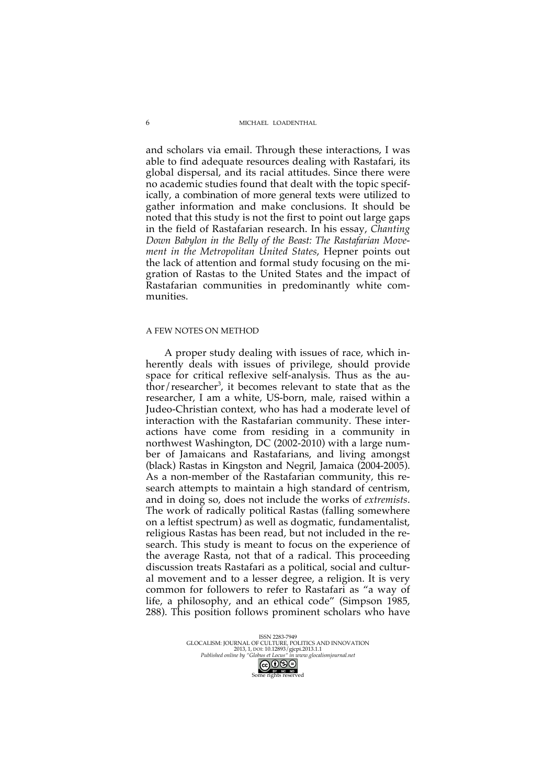and scholars via email. Through these interactions, I was able to find adequate resources dealing with Rastafari, its global dispersal, and its racial attitudes. Since there were no academic studies found that dealt with the topic specifically, a combination of more general texts were utilized to gather information and make conclusions. It should be noted that this study is not the first to point out large gaps in the field of Rastafarian research. In his essay, *Chanting Down Babylon in the Belly of the Beast: The Rastafarian Movement in the Metropolitan United States*, Hepner points out the lack of attention and formal study focusing on the migration of Rastas to the United States and the impact of Rastafarian communities in predominantly white communities.

#### A FEW NOTES ON METHOD

A proper study dealing with issues of race, which inherently deals with issues of privilege, should provide space for critical reflexive self-analysis. Thus as the author/researcher<sup>3</sup>, it becomes relevant to state that as the researcher, I am a white, US-born, male, raised within a Judeo-Christian context, who has had a moderate level of interaction with the Rastafarian community. These interactions have come from residing in a community in northwest Washington, DC (2002-2010) with a large number of Jamaicans and Rastafarians, and living amongst (black) Rastas in Kingston and Negril, Jamaica (2004-2005). As a non-member of the Rastafarian community, this research attempts to maintain a high standard of centrism, and in doing so, does not include the works of *extremists*. The work of radically political Rastas (falling somewhere on a leftist spectrum) as well as dogmatic, fundamentalist, religious Rastas has been read, but not included in the research. This study is meant to focus on the experience of the average Rasta, not that of a radical. This proceeding discussion treats Rastafari as a political, social and cultural movement and to a lesser degree, a religion. It is very common for followers to refer to Rastafari as "a way of life, a philosophy, and an ethical code" (Simpson 1985, 288). This position follows prominent scholars who have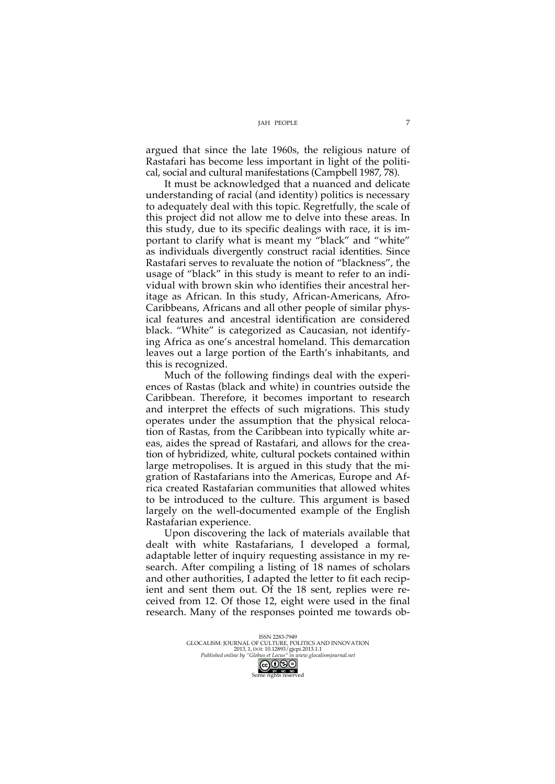argued that since the late 1960s, the religious nature of Rastafari has become less important in light of the political, social and cultural manifestations (Campbell 1987, 78).

It must be acknowledged that a nuanced and delicate understanding of racial (and identity) politics is necessary to adequately deal with this topic. Regretfully, the scale of this project did not allow me to delve into these areas. In this study, due to its specific dealings with race, it is important to clarify what is meant my "black" and "white" as individuals divergently construct racial identities. Since Rastafari serves to revaluate the notion of "blackness", the usage of "black" in this study is meant to refer to an individual with brown skin who identifies their ancestral heritage as African. In this study, African-Americans, Afro-Caribbeans, Africans and all other people of similar physical features and ancestral identification are considered black. "White" is categorized as Caucasian, not identifying Africa as one's ancestral homeland. This demarcation leaves out a large portion of the Earth's inhabitants, and this is recognized.

Much of the following findings deal with the experiences of Rastas (black and white) in countries outside the Caribbean. Therefore, it becomes important to research and interpret the effects of such migrations. This study operates under the assumption that the physical relocation of Rastas, from the Caribbean into typically white areas, aides the spread of Rastafari, and allows for the creation of hybridized, white, cultural pockets contained within large metropolises. It is argued in this study that the migration of Rastafarians into the Americas, Europe and Africa created Rastafarian communities that allowed whites to be introduced to the culture. This argument is based largely on the well-documented example of the English Rastafarian experience.

Upon discovering the lack of materials available that dealt with white Rastafarians, I developed a formal, adaptable letter of inquiry requesting assistance in my research. After compiling a listing of 18 names of scholars and other authorities, I adapted the letter to fit each recipient and sent them out. Of the 18 sent, replies were received from 12. Of those 12, eight were used in the final research. Many of the responses pointed me towards ob-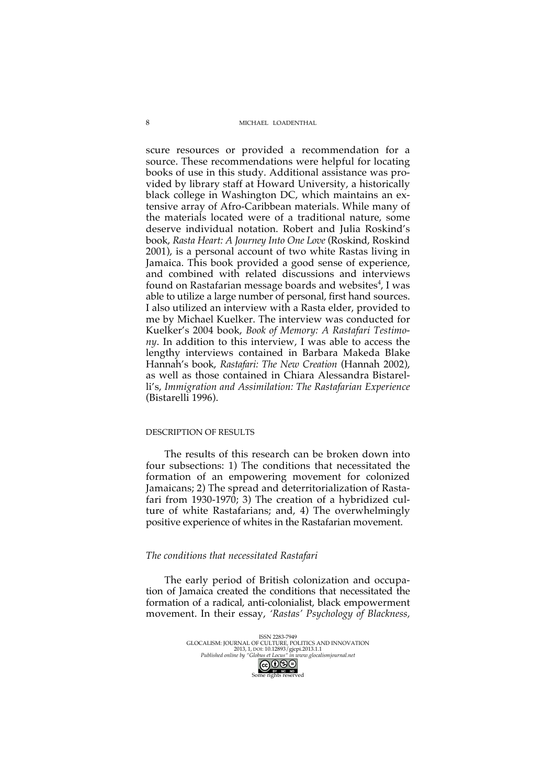scure resources or provided a recommendation for a source. These recommendations were helpful for locating books of use in this study. Additional assistance was provided by library staff at Howard University, a historically black college in Washington DC, which maintains an extensive array of Afro-Caribbean materials. While many of the materials located were of a traditional nature, some deserve individual notation. Robert and Julia Roskind's book, *Rasta Heart: A Journey Into One Love* (Roskind, Roskind 2001), is a personal account of two white Rastas living in Jamaica. This book provided a good sense of experience, and combined with related discussions and interviews found on Rastafarian message boards and websites<sup>4</sup>, I was able to utilize a large number of personal, first hand sources. I also utilized an interview with a Rasta elder, provided to me by Michael Kuelker. The interview was conducted for Kuelker's 2004 book, *Book of Memory: A Rastafari Testimony*. In addition to this interview, I was able to access the lengthy interviews contained in Barbara Makeda Blake Hannah's book, *Rastafari: The New Creation* (Hannah 2002), as well as those contained in Chiara Alessandra Bistarelli's, *Immigration and Assimilation: The Rastafarian Experience* (Bistarelli 1996).

## DESCRIPTION OF RESULTS

The results of this research can be broken down into four subsections: 1) The conditions that necessitated the formation of an empowering movement for colonized Jamaicans; 2) The spread and deterritorialization of Rastafari from 1930-1970; 3) The creation of a hybridized culture of white Rastafarians; and, 4) The overwhelmingly positive experience of whites in the Rastafarian movement.

## *The conditions that necessitated Rastafari*

The early period of British colonization and occupation of Jamaica created the conditions that necessitated the formation of a radical, anti-colonialist, black empowerment movement. In their essay, *'Rastas' Psychology of Blackness,*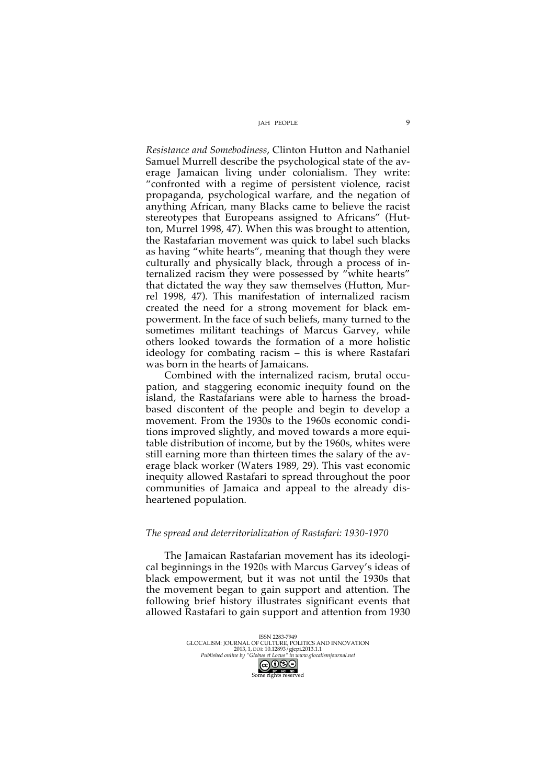*Resistance and Somebodiness*, Clinton Hutton and Nathaniel Samuel Murrell describe the psychological state of the average Jamaican living under colonialism. They write: "confronted with a regime of persistent violence, racist propaganda, psychological warfare, and the negation of anything African, many Blacks came to believe the racist stereotypes that Europeans assigned to Africans" (Hutton, Murrel 1998, 47). When this was brought to attention, the Rastafarian movement was quick to label such blacks as having "white hearts", meaning that though they were culturally and physically black, through a process of internalized racism they were possessed by "white hearts" that dictated the way they saw themselves (Hutton, Murrel 1998, 47). This manifestation of internalized racism created the need for a strong movement for black empowerment. In the face of such beliefs, many turned to the sometimes militant teachings of Marcus Garvey, while others looked towards the formation of a more holistic ideology for combating racism – this is where Rastafari was born in the hearts of Jamaicans.

Combined with the internalized racism, brutal occupation, and staggering economic inequity found on the island, the Rastafarians were able to harness the broadbased discontent of the people and begin to develop a movement. From the 1930s to the 1960s economic conditions improved slightly, and moved towards a more equitable distribution of income, but by the 1960s, whites were still earning more than thirteen times the salary of the average black worker (Waters 1989, 29). This vast economic inequity allowed Rastafari to spread throughout the poor communities of Jamaica and appeal to the already disheartened population.

# *The spread and deterritorialization of Rastafari: 1930-1970*

The Jamaican Rastafarian movement has its ideological beginnings in the 1920s with Marcus Garvey's ideas of black empowerment, but it was not until the 1930s that the movement began to gain support and attention. The following brief history illustrates significant events that allowed Rastafari to gain support and attention from 1930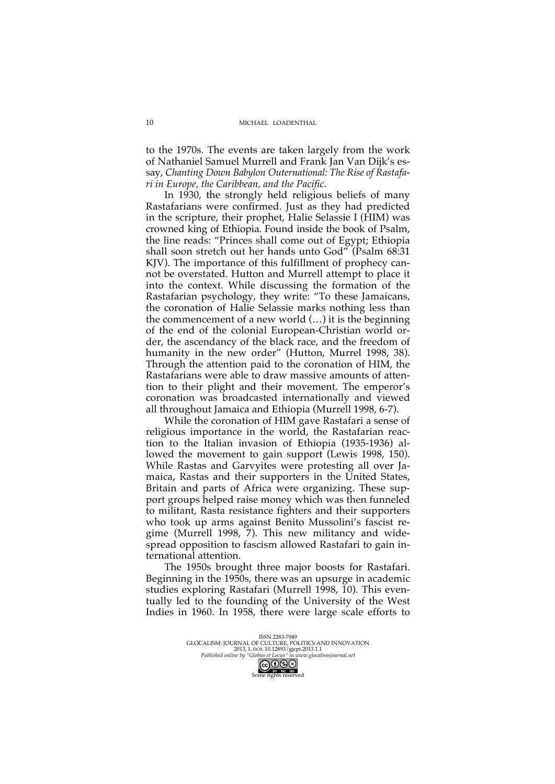to the 1970s. The events are taken largely from the work of Nathaniel Samuel Murrell and Frank Jan Van Dijk's essay, *Chanting Down Babylon Outernational: The Rise of Rastafari in Europe, the Caribbean, and the Pacific*.

In 1930, the strongly held religious beliefs of many Rastafarians were confirmed. Just as they had predicted in the scripture, their prophet, Halie Selassie I (HIM) was crowned king of Ethiopia. Found inside the book of Psalm, the line reads: "Princes shall come out of Egypt; Ethiopia shall soon stretch out her hands unto God" (Psalm 68:31 KJV). The importance of this fulfillment of prophecy cannot be overstated. Hutton and Murrell attempt to place it into the context. While discussing the formation of the Rastafarian psychology, they write: "To these Jamaicans, the coronation of Halie Selassie marks nothing less than the commencement of a new world (…) it is the beginning of the end of the colonial European-Christian world order, the ascendancy of the black race, and the freedom of humanity in the new order" (Hutton, Murrel 1998, 38). Through the attention paid to the coronation of HIM, the Rastafarians were able to draw massive amounts of attention to their plight and their movement. The emperor's coronation was broadcasted internationally and viewed all throughout Jamaica and Ethiopia (Murrell 1998, 6-7).

While the coronation of HIM gave Rastafari a sense of religious importance in the world, the Rastafarian reaction to the Italian invasion of Ethiopia (1935-1936) allowed the movement to gain support (Lewis 1998, 150). While Rastas and Garvyites were protesting all over Jamaica, Rastas and their supporters in the United States, Britain and parts of Africa were organizing. These support groups helped raise money which was then funneled to militant, Rasta resistance fighters and their supporters who took up arms against Benito Mussolini's fascist regime (Murrell 1998, 7). This new militancy and widespread opposition to fascism allowed Rastafari to gain international attention.

The 1950s brought three major boosts for Rastafari. Beginning in the 1950s, there was an upsurge in academic studies exploring Rastafari (Murrell 1998, 10). This eventually led to the founding of the University of the West Indies in 1960. In 1958, there were large scale efforts to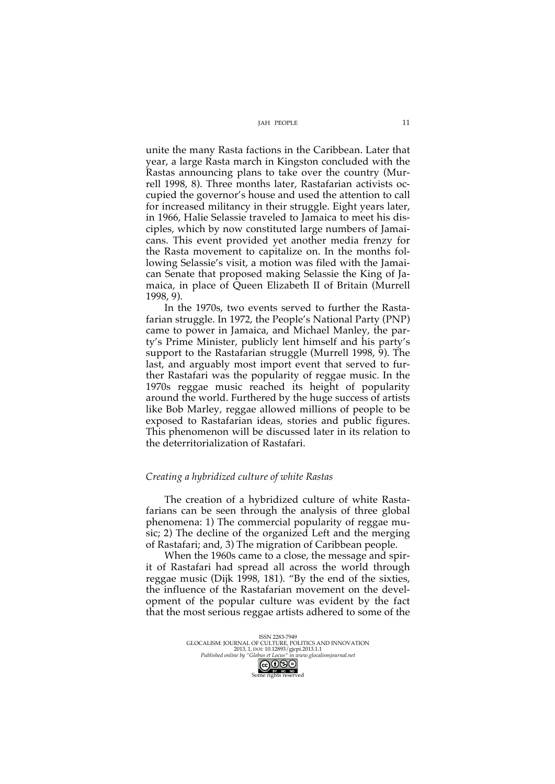unite the many Rasta factions in the Caribbean. Later that year, a large Rasta march in Kingston concluded with the Rastas announcing plans to take over the country (Murrell 1998, 8). Three months later, Rastafarian activists occupied the governor's house and used the attention to call for increased militancy in their struggle. Eight years later, in 1966, Halie Selassie traveled to Jamaica to meet his disciples, which by now constituted large numbers of Jamaicans. This event provided yet another media frenzy for the Rasta movement to capitalize on. In the months following Selassie's visit, a motion was filed with the Jamaican Senate that proposed making Selassie the King of Jamaica, in place of Queen Elizabeth II of Britain (Murrell 1998, 9).

In the 1970s, two events served to further the Rastafarian struggle. In 1972, the People's National Party (PNP) came to power in Jamaica, and Michael Manley, the party's Prime Minister, publicly lent himself and his party's support to the Rastafarian struggle (Murrell 1998, 9). The last, and arguably most import event that served to further Rastafari was the popularity of reggae music. In the 1970s reggae music reached its height of popularity around the world. Furthered by the huge success of artists like Bob Marley, reggae allowed millions of people to be exposed to Rastafarian ideas, stories and public figures. This phenomenon will be discussed later in its relation to the deterritorialization of Rastafari.

#### *Creating a hybridized culture of white Rastas*

The creation of a hybridized culture of white Rastafarians can be seen through the analysis of three global phenomena: 1) The commercial popularity of reggae music; 2) The decline of the organized Left and the merging of Rastafari; and, 3) The migration of Caribbean people.

When the 1960s came to a close, the message and spirit of Rastafari had spread all across the world through reggae music (Dijk 1998, 181). "By the end of the sixties, the influence of the Rastafarian movement on the development of the popular culture was evident by the fact that the most serious reggae artists adhered to some of the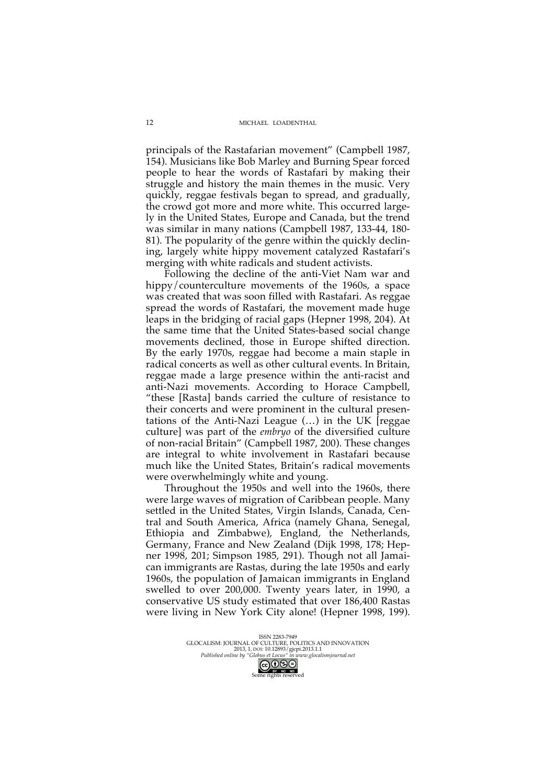principals of the Rastafarian movement" (Campbell 1987, 154). Musicians like Bob Marley and Burning Spear forced people to hear the words of Rastafari by making their struggle and history the main themes in the music. Very quickly, reggae festivals began to spread, and gradually, the crowd got more and more white. This occurred largely in the United States, Europe and Canada, but the trend was similar in many nations (Campbell 1987, 133-44, 180- 81). The popularity of the genre within the quickly declining, largely white hippy movement catalyzed Rastafari's merging with white radicals and student activists.

Following the decline of the anti-Viet Nam war and hippy/counterculture movements of the 1960s, a space was created that was soon filled with Rastafari. As reggae spread the words of Rastafari, the movement made huge leaps in the bridging of racial gaps (Hepner 1998, 204). At the same time that the United States-based social change movements declined, those in Europe shifted direction. By the early 1970s, reggae had become a main staple in radical concerts as well as other cultural events. In Britain, reggae made a large presence within the anti-racist and anti-Nazi movements. According to Horace Campbell, "these [Rasta] bands carried the culture of resistance to their concerts and were prominent in the cultural presentations of the Anti-Nazi League (…) in the UK [reggae culture] was part of the *embryo* of the diversified culture of non-racial Britain" (Campbell 1987, 200). These changes are integral to white involvement in Rastafari because much like the United States, Britain's radical movements were overwhelmingly white and young.

Throughout the 1950s and well into the 1960s, there were large waves of migration of Caribbean people. Many settled in the United States, Virgin Islands, Canada, Central and South America, Africa (namely Ghana, Senegal, Ethiopia and Zimbabwe), England, the Netherlands, Germany, France and New Zealand (Dijk 1998, 178; Hepner 1998, 201; Simpson 1985, 291). Though not all Jamaican immigrants are Rastas, during the late 1950s and early 1960s, the population of Jamaican immigrants in England swelled to over 200,000. Twenty years later, in 1990, a conservative US study estimated that over 186,400 Rastas were living in New York City alone! (Hepner 1998, 199).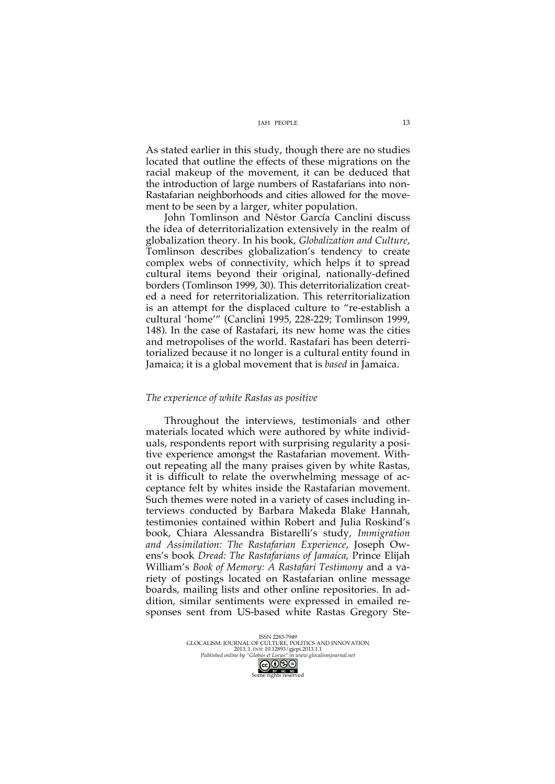As stated earlier in this study, though there are no studies located that outline the effects of these migrations on the racial makeup of the movement, it can be deduced that the introduction of large numbers of Rastafarians into non-Rastafarian neighborhoods and cities allowed for the movement to be seen by a larger, whiter population.

John Tomlinson and Néstor García Canclini discuss the idea of deterritorialization extensively in the realm of globalization theory. In his book, *Globalization and Culture*, Tomlinson describes globalization's tendency to create complex webs of connectivity, which helps it to spread cultural items beyond their original, nationally-defined borders (Tomlinson 1999, 30). This deterritorialization created a need for reterritorialization. This reterritorialization is an attempt for the displaced culture to "re-establish a cultural 'home'" (Canclini 1995, 228-229; Tomlinson 1999, 148). In the case of Rastafari, its new home was the cities and metropolises of the world. Rastafari has been deterritorialized because it no longer is a cultural entity found in Jamaica; it is a global movement that is *based* in Jamaica.

## *The experience of white Rastas as positive*

Throughout the interviews, testimonials and other materials located which were authored by white individuals, respondents report with surprising regularity a positive experience amongst the Rastafarian movement. Without repeating all the many praises given by white Rastas, it is difficult to relate the overwhelming message of acceptance felt by whites inside the Rastafarian movement. Such themes were noted in a variety of cases including interviews conducted by Barbara Makeda Blake Hannah, testimonies contained within Robert and Julia Roskind's book, Chiara Alessandra Bistarelli's study, *Immigration and Assimilation: The Rastafarian Experience*, Joseph Owens's book *Dread: The Rastafarians of Jamaica*, Prince Elijah William's *Book of Memory: A Rastafari Testimony* and a variety of postings located on Rastafarian online message boards, mailing lists and other online repositories. In addition, similar sentiments were expressed in emailed responses sent from US-based white Rastas Gregory Ste-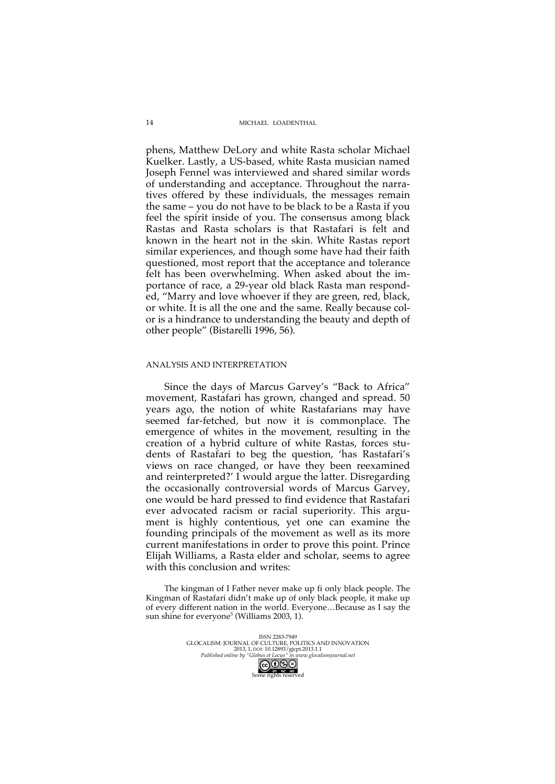#### MICHAEL LOADENTHAL

phens, Matthew DeLory and white Rasta scholar Michael Kuelker. Lastly, a US-based, white Rasta musician named Joseph Fennel was interviewed and shared similar words of understanding and acceptance. Throughout the narratives offered by these individuals, the messages remain the same – you do not have to be black to be a Rasta if you feel the spirit inside of you. The consensus among black Rastas and Rasta scholars is that Rastafari is felt and known in the heart not in the skin. White Rastas report similar experiences, and though some have had their faith questioned, most report that the acceptance and tolerance felt has been overwhelming. When asked about the importance of race, a 29-year old black Rasta man responded, "Marry and love whoever if they are green, red, black, or white. It is all the one and the same. Really because color is a hindrance to understanding the beauty and depth of other people" (Bistarelli 1996, 56).

#### ANALYSIS AND INTERPRETATION

Since the days of Marcus Garvey's "Back to Africa" movement, Rastafari has grown, changed and spread. 50 years ago, the notion of white Rastafarians may have seemed far-fetched, but now it is commonplace. The emergence of whites in the movement, resulting in the creation of a hybrid culture of white Rastas, forces students of Rastafari to beg the question, 'has Rastafari's views on race changed, or have they been reexamined and reinterpreted?' I would argue the latter. Disregarding the occasionally controversial words of Marcus Garvey, one would be hard pressed to find evidence that Rastafari ever advocated racism or racial superiority. This argument is highly contentious, yet one can examine the founding principals of the movement as well as its more current manifestations in order to prove this point. Prince Elijah Williams, a Rasta elder and scholar, seems to agree with this conclusion and writes:

The kingman of I Father never make up fi only black people. The Kingman of Rastafari didn't make up of only black people, it make up of every different nation in the world. Everyone…Because as I say the sun shine for everyone<sup>5</sup> (Williams 2003, 1).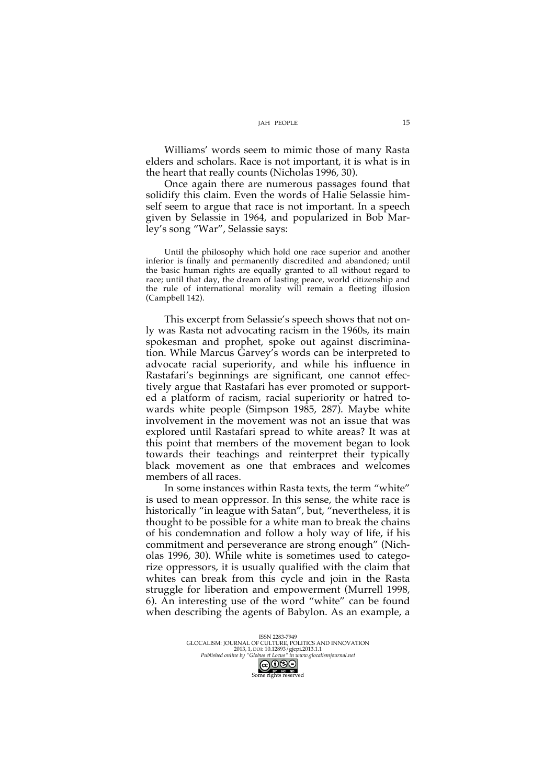Williams' words seem to mimic those of many Rasta elders and scholars. Race is not important, it is what is in the heart that really counts (Nicholas 1996, 30).

Once again there are numerous passages found that solidify this claim. Even the words of Halie Selassie himself seem to argue that race is not important. In a speech given by Selassie in 1964, and popularized in Bob Marley's song "War", Selassie says:

Until the philosophy which hold one race superior and another inferior is finally and permanently discredited and abandoned; until the basic human rights are equally granted to all without regard to race; until that day, the dream of lasting peace, world citizenship and the rule of international morality will remain a fleeting illusion (Campbell 142).

This excerpt from Selassie's speech shows that not only was Rasta not advocating racism in the 1960s, its main spokesman and prophet, spoke out against discrimination. While Marcus Garvey's words can be interpreted to advocate racial superiority, and while his influence in Rastafari's beginnings are significant, one cannot effectively argue that Rastafari has ever promoted or supported a platform of racism, racial superiority or hatred towards white people (Simpson 1985, 287). Maybe white involvement in the movement was not an issue that was explored until Rastafari spread to white areas? It was at this point that members of the movement began to look towards their teachings and reinterpret their typically black movement as one that embraces and welcomes members of all races.

In some instances within Rasta texts, the term "white" is used to mean oppressor. In this sense, the white race is historically "in league with Satan", but, "nevertheless, it is thought to be possible for a white man to break the chains of his condemnation and follow a holy way of life, if his commitment and perseverance are strong enough" (Nicholas 1996, 30). While white is sometimes used to categorize oppressors, it is usually qualified with the claim that whites can break from this cycle and join in the Rasta struggle for liberation and empowerment (Murrell 1998, 6). An interesting use of the word "white" can be found when describing the agents of Babylon. As an example, a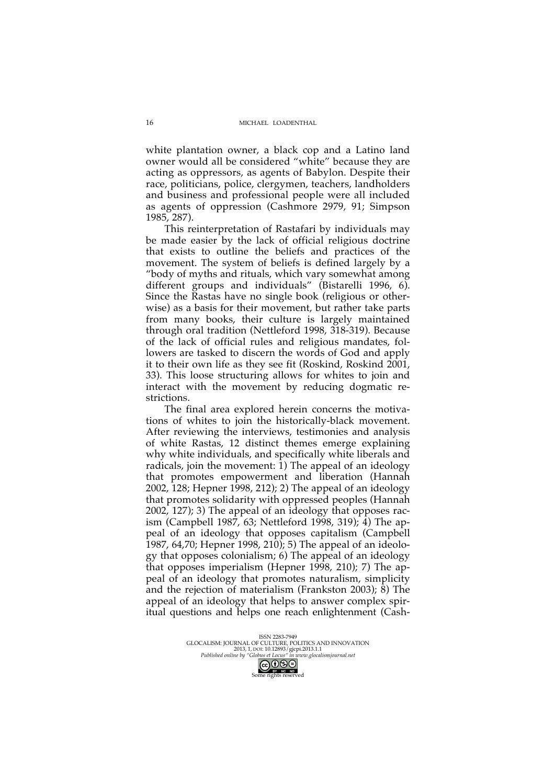white plantation owner, a black cop and a Latino land owner would all be considered "white" because they are acting as oppressors, as agents of Babylon. Despite their race, politicians, police, clergymen, teachers, landholders and business and professional people were all included as agents of oppression (Cashmore 2979, 91; Simpson 1985, 287).

This reinterpretation of Rastafari by individuals may be made easier by the lack of official religious doctrine that exists to outline the beliefs and practices of the movement. The system of beliefs is defined largely by a "body of myths and rituals, which vary somewhat among different groups and individuals" (Bistarelli 1996, 6). Since the Rastas have no single book (religious or otherwise) as a basis for their movement, but rather take parts from many books, their culture is largely maintained through oral tradition (Nettleford 1998, 318-319). Because of the lack of official rules and religious mandates, followers are tasked to discern the words of God and apply it to their own life as they see fit (Roskind, Roskind 2001, 33). This loose structuring allows for whites to join and interact with the movement by reducing dogmatic restrictions.

The final area explored herein concerns the motivations of whites to join the historically-black movement. After reviewing the interviews, testimonies and analysis of white Rastas, 12 distinct themes emerge explaining why white individuals, and specifically white liberals and radicals, join the movement:  $\overline{1}$ ) The appeal of an ideology that promotes empowerment and liberation (Hannah 2002, 128; Hepner 1998, 212); 2) The appeal of an ideology that promotes solidarity with oppressed peoples (Hannah 2002, 127); 3) The appeal of an ideology that opposes racism (Campbell 1987, 63; Nettleford 1998, 319); 4) The appeal of an ideology that opposes capitalism (Campbell 1987, 64,70; Hepner 1998, 210); 5) The appeal of an ideology that opposes colonialism; 6) The appeal of an ideology that opposes imperialism (Hepner 1998, 210); 7) The appeal of an ideology that promotes naturalism, simplicity and the rejection of materialism (Frankston 2003); 8) The appeal of an ideology that helps to answer complex spiritual questions and helps one reach enlightenment (Cash-

> ISSN 2283-7949 GLOCALISM: JOURNAL OF CULTURE, POLITICS AND INNOVATION 2013, 1, DOI: 10.12893/gjcpi.2013.1.1 *Published online by "Globus et Locus" in www.glocalismjournal.net* CO OS O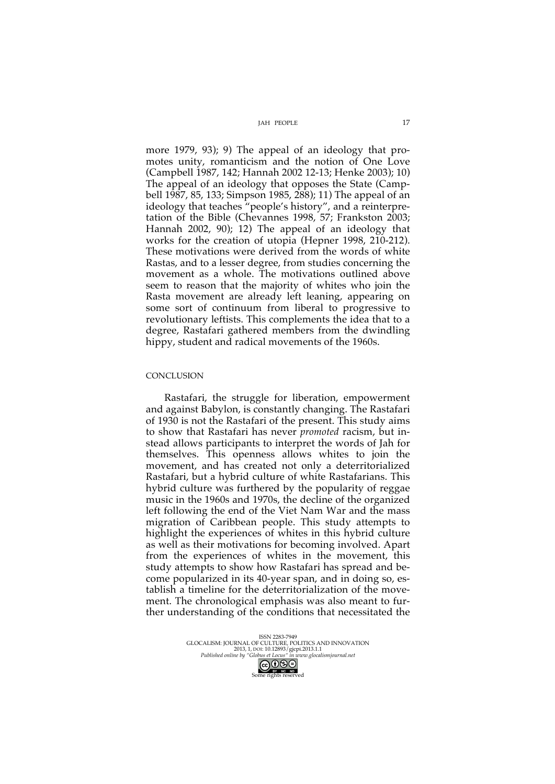more 1979, 93); 9) The appeal of an ideology that promotes unity, romanticism and the notion of One Love (Campbell 1987, 142; Hannah 2002 12-13; Henke 2003); 10) The appeal of an ideology that opposes the State (Campbell 1987, 85, 133; Simpson 1985, 288); 11) The appeal of an ideology that teaches "people's history", and a reinterpretation of the Bible (Chevannes 1998, 57; Frankston 2003; Hannah 2002, 90); 12) The appeal of an ideology that works for the creation of utopia (Hepner 1998, 210-212). These motivations were derived from the words of white Rastas, and to a lesser degree, from studies concerning the movement as a whole. The motivations outlined above seem to reason that the majority of whites who join the Rasta movement are already left leaning, appearing on some sort of continuum from liberal to progressive to revolutionary leftists. This complements the idea that to a degree, Rastafari gathered members from the dwindling hippy, student and radical movements of the 1960s.

#### CONCLUSION

Rastafari, the struggle for liberation, empowerment and against Babylon, is constantly changing. The Rastafari of 1930 is not the Rastafari of the present. This study aims to show that Rastafari has never *promoted* racism, but instead allows participants to interpret the words of Jah for themselves. This openness allows whites to join the movement, and has created not only a deterritorialized Rastafari, but a hybrid culture of white Rastafarians. This hybrid culture was furthered by the popularity of reggae music in the 1960s and 1970s, the decline of the organized left following the end of the Viet Nam War and the mass migration of Caribbean people. This study attempts to highlight the experiences of whites in this hybrid culture as well as their motivations for becoming involved. Apart from the experiences of whites in the movement, this study attempts to show how Rastafari has spread and become popularized in its 40-year span, and in doing so, establish a timeline for the deterritorialization of the movement. The chronological emphasis was also meant to further understanding of the conditions that necessitated the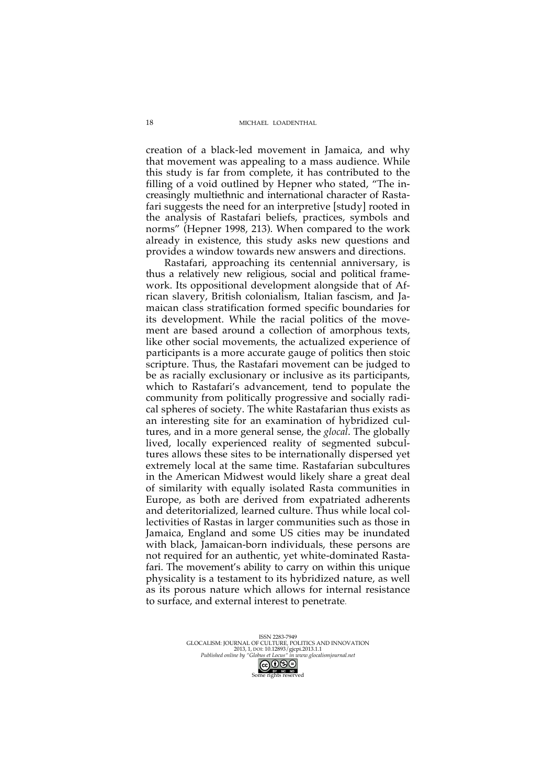creation of a black-led movement in Jamaica, and why that movement was appealing to a mass audience. While this study is far from complete, it has contributed to the filling of a void outlined by Hepner who stated, "The increasingly multiethnic and international character of Rastafari suggests the need for an interpretive [study] rooted in the analysis of Rastafari beliefs, practices, symbols and norms" (Hepner 1998, 213). When compared to the work already in existence, this study asks new questions and provides a window towards new answers and directions.

Rastafari, approaching its centennial anniversary, is thus a relatively new religious, social and political framework. Its oppositional development alongside that of African slavery, British colonialism, Italian fascism, and Jamaican class stratification formed specific boundaries for its development. While the racial politics of the movement are based around a collection of amorphous texts, like other social movements, the actualized experience of participants is a more accurate gauge of politics then stoic scripture. Thus, the Rastafari movement can be judged to be as racially exclusionary or inclusive as its participants, which to Rastafari's advancement, tend to populate the community from politically progressive and socially radical spheres of society. The white Rastafarian thus exists as an interesting site for an examination of hybridized cultures, and in a more general sense, the *glocal*. The globally lived, locally experienced reality of segmented subcultures allows these sites to be internationally dispersed yet extremely local at the same time. Rastafarian subcultures in the American Midwest would likely share a great deal of similarity with equally isolated Rasta communities in Europe, as both are derived from expatriated adherents and deteritorialized, learned culture. Thus while local collectivities of Rastas in larger communities such as those in Jamaica, England and some US cities may be inundated with black, Jamaican-born individuals, these persons are not required for an authentic, yet white-dominated Rastafari. The movement's ability to carry on within this unique physicality is a testament to its hybridized nature, as well as its porous nature which allows for internal resistance to surface, and external interest to penetrate.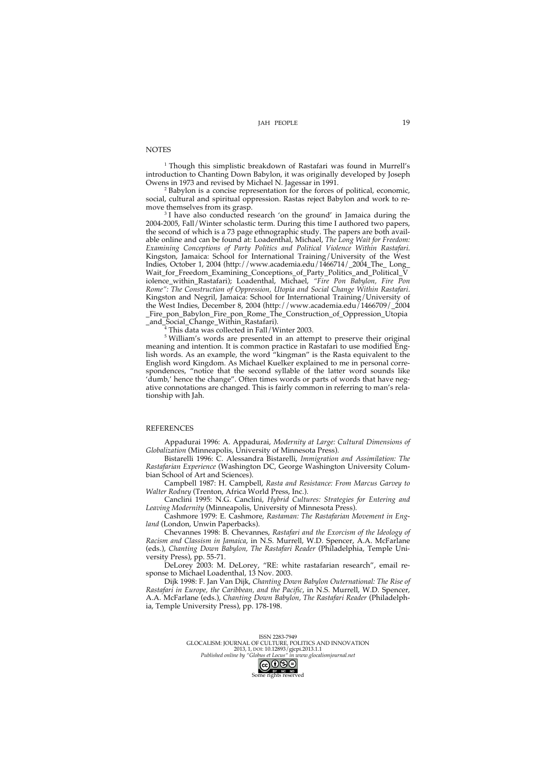#### **NOTES**

<sup>1</sup> Though this simplistic breakdown of Rastafari was found in Murrell's introduction to Chanting Down Babylon, it was originally developed by Joseph Owens in 1973 and revised by Michael N. Jagessar in 1991.

<sup>2</sup> Babylon is a concise representation for the forces of political, economic, social, cultural and spiritual oppression. Rastas reject Babylon and work to remove themselves from its grasp.

<sup>3</sup> I have also conducted research 'on the ground' in Jamaica during the 2004-2005, Fall/Winter scholastic term. During this time I authored two papers, the second of which is a 73 page ethnographic study. The papers are both available online and can be found at: Loadenthal, Michael, *The Long Wait for Freedom: Examining Conceptions of Party Politics and Political Violence Within Rastafari*. Kingston, Jamaica: School for International Training/University of the West Indies, October 1, 2004 (http://www.academia.edu/1466714/\_2004\_The\_ Long\_ Wait\_for\_Freedom\_Examining\_Conceptions\_of\_Party\_Politics\_and\_Political\_V iolence\_within\_Rastafari); Loadenthal, Michael, *"Fire Pon Babylon, Fire Pon Rome": The Construction of Oppression, Utopia and Social Change Within Rastafari*. Kingston and Negril, Jamaica: School for International Training/University of the West Indies, December 8, 2004 (http://www.academia.edu/1466709/\_2004 The pon\_Babylon\_Fire\_pon\_Rome\_The\_Construction\_of\_Oppression\_Utopia<br>
\_and\_Social\_Change\_Within\_Rastafari).

 $\frac{3}{4}$ This data was collected in Fall/Winter 2003.

<sup>5</sup> William's words are presented in an attempt to preserve their original meaning and intention. It is common practice in Rastafari to use modified English words. As an example, the word "kingman" is the Rasta equivalent to the English word Kingdom. As Michael Kuelker explained to me in personal correspondences, "notice that the second syllable of the latter word sounds like 'dumb,' hence the change". Often times words or parts of words that have negative connotations are changed. This is fairly common in referring to man's relationship with Jah.

#### REFERENCES

Appadurai 1996: A. Appadurai, *Modernity at Large: Cultural Dimensions of Globalization* (Minneapolis, University of Minnesota Press).

Bistarelli 1996: C. Alessandra Bistarelli, *Immigration and Assimilation: The Rastafarian Experience* (Washington DC, George Washington University Columbian School of Art and Sciences).

Campbell 1987: H. Campbell, *Rasta and Resistance: From Marcus Garvey to Walter Rodney* (Trenton, Africa World Press, Inc.).

Canclini 1995: N.G. Canclini, *Hybrid Cultures: Strategies for Entering and Leaving Modernity* (Minneapolis, University of Minnesota Press).

Cashmore 1979: E. Cashmore, *Rastaman: The Rastafarian Movement in England* (London, Unwin Paperbacks).

Chevannes 1998: B. Chevannes, *Rastafari and the Exorcism of the Ideology of Racism and Classism in Jamaica*, in N.S. Murrell, W.D. Spencer, A.A. McFarlane (eds.), *Chanting Down Babylon, The Rastafari Reader* (Philadelphia, Temple University Press), pp. 55-71.

DeLorey 2003: M. DeLorey, "RE: white rastafarian research", email response to Michael Loadenthal, 13 Nov. 2003.

Dijk 1998: F. Jan Van Dijk, *Chanting Down Babylon Outernational: The Rise of Rastafari in Europe, the Caribbean, and the Pacific*, in N.S. Murrell, W.D. Spencer, A.A. McFarlane (eds.), *Chanting Down Babylon, The Rastafari Reader* (Philadelphia, Temple University Press), pp. 178-198.

> ISSN 2283-7949 GLOCALISM: JOURNAL OF CULTURE, POLITICS AND INNOVATION 2013, 1, DOI: 10.12893/gjcpi.2013.1.1 *Published online by "Globus et Locus" in www.glocalismjournal.net* **COOSE**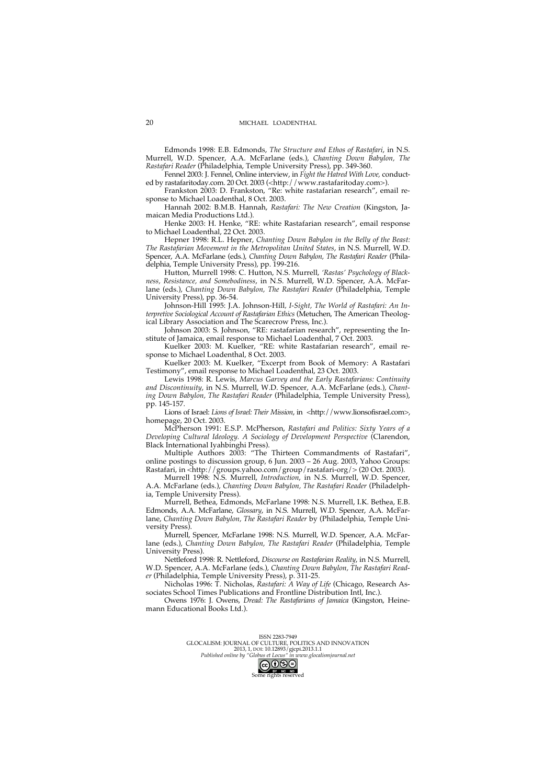Edmonds 1998: E.B. Edmonds, *The Structure and Ethos of Rastafari*, in N.S. Murrell, W.D. Spencer, A.A. McFarlane (eds.), *Chanting Down Babylon, The Rastafari Reader* (Philadelphia, Temple University Press), pp. 349-360.

Fennel 2003: J. Fennel, Online interview, in *Fight the Hatred With Love,* conducted by rastafaritoday.com. 20 Oct. 2003 (<http://www.rastafaritoday.com>).

Frankston 2003: D. Frankston, "Re: white rastafarian research", email response to Michael Loadenthal, 8 Oct. 2003.

Hannah 2002: B.M.B. Hannah, *Rastafari: The New Creation* (Kingston, Jamaican Media Productions Ltd.).

Henke 2003: H. Henke, "RE: white Rastafarian research", email response to Michael Loadenthal, 22 Oct. 2003.

Hepner 1998: R.L. Hepner, *Chanting Down Babylon in the Belly of the Beast: The Rastafarian Movement in the Metropolitan United States*, in N.S. Murrell, W.D. Spencer, A.A. McFarlane (eds.), *Chanting Down Babylon, The Rastafari Reader* (Philadelphia, Temple University Press), pp. 199-216.

Hutton, Murrell 1998: C. Hutton, N.S. Murrell, *'Rastas' Psychology of Blackness, Resistance, and Somebodiness*, in N.S. Murrell, W.D. Spencer, A.A. McFarlane (eds.), *Chanting Down Babylon, The Rastafari Reader* (Philadelphia, Temple University Press), pp. 36-54.

Johnson-Hill 1995: J.A. Johnson-Hill*, I-Sight, The World of Rastafari: An Interpretive Sociological Account of Rastafarian Ethics* (Metuchen, The American Theological Library Association and The Scarecrow Press, Inc.).

Johnson 2003: S. Johnson, "RE: rastafarian research", representing the Institute of Jamaica, email response to Michael Loadenthal, 7 Oct. 2003.

Kuelker 2003: M. Kuelker, "RE: white Rastafarian research", email response to Michael Loadenthal, 8 Oct. 2003.

Kuelker 2003: M. Kuelker, "Excerpt from Book of Memory: A Rastafari Testimony", email response to Michael Loadenthal, 23 Oct. 2003.

Lewis 1998: R. Lewis, *Marcus Garvey and the Early Rastafarians: Continuity and Discontinuity*, in N.S. Murrell, W.D. Spencer, A.A. McFarlane (eds.), *Chanting Down Babylon, The Rastafari Reader* (Philadelphia, Temple University Press), pp. 145-157.

Lions of Israel: *Lions of Israel: Their Mission*, in <http://www.lionsofisrael.com>, homepage, 20 Oct. 2003.

McPherson 1991: E.S.P. McPherson, *Rastafari and Politics: Sixty Years of a Developing Cultural Ideology. A Sociology of Development Perspective* (Clarendon, Black International Iyahbinghi Press).

Multiple Authors 2003: "The Thirteen Commandments of Rastafari", online postings to discussion group, 6 Jun. 2003 – 26 Aug. 2003, Yahoo Groups: Rastafari, in <http://groups.yahoo.com/group/rastafari-org/> (20 Oct. 2003).

Murrell 1998: N.S. Murrell, *Introduction*, in N.S. Murrell, W.D. Spencer, A.A. McFarlane (eds.), *Chanting Down Babylon, The Rastafari Reader* (Philadelphia, Temple University Press).

Murrell, Bethea, Edmonds, McFarlane 1998: N.S. Murrell, I.K. Bethea, E.B. Edmonds, A.A. McFarlane, *Glossary*, in N.S. Murrell, W.D. Spencer, A.A. McFarlane, *Chanting Down Babylon, The Rastafari Reader* by (Philadelphia, Temple University Press).

Murrell, Spencer, McFarlane 1998: N.S. Murrell, W.D. Spencer, A.A. McFarlane (eds.), *Chanting Down Babylon, The Rastafari Reader* (Philadelphia, Temple University Press).

Nettleford 1998: R. Nettleford, *Discourse on Rastafarian Reality*, in N.S. Murrell, W.D. Spencer, A.A. McFarlane (eds.), *Chanting Down Babylon, The Rastafari Reader* (Philadelphia, Temple University Press), p. 311-25.

Nicholas 1996: T. Nicholas, *Rastafari: A Way of Life* (Chicago, Research Associates School Times Publications and Frontline Distribution Intl, Inc.).

Owens 1976: J. Owens, *Dread: The Rastafarians of Jamaica* (Kingston, Heinemann Educational Books Ltd.).

> ISSN 2283-7949 GLOCALISM: JOURNAL OF CULTURE, POLITICS AND INNOVATION 2013, 1, DOI: 10.12893/gjcpi.2013.1.1 *Published online by "Globus et Locus" in www.glocalismjournal.net* COOSE